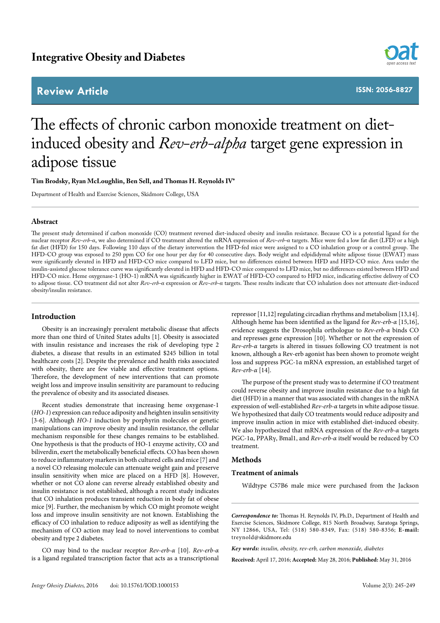# **Review Article**



**ISSN: 2056-8827**

# The effects of chronic carbon monoxide treatment on dietinduced obesity and *Rev-erb-alpha* target gene expression in adipose tissue

**Tim Brodsky, Ryan McLoughlin, Ben Sell, and Thomas H. Reynolds IV\***

Department of Health and Exercise Sciences, Skidmore College, USA

# **Abstract**

The present study determined if carbon monoxide (CO) treatment reversed diet-induced obesity and insulin resistance. Because CO is a potential ligand for the nuclear receptor *Rev-erb-α*, we also determined if CO treatment altered the mRNA expression of *Rev-erb-α* targets. Mice were fed a low fat diet (LFD) or a high fat diet (HFD) for 150 days. Following 110 days of the dietary intervention the HFD-fed mice were assigned to a CO inhalation group or a control group. The HFD-CO group was exposed to 250 ppm CO for one hour per day for 40 consecutive days. Body weight and edpididymal white adipose tissue (EWAT) mass were significantly elevated in HFD and HFD-CO mice compared to LFD mice, but no differences existed between HFD and HFD-CO mice. Area under the insulin-assisted glucose tolerance curve was significantly elevated in HFD and HFD-CO mice compared to LFD mice, but no differences existed between HFD and HFD-CO mice. Heme oxygenase-1 (HO-1) mRNA was significantly higher in EWAT of HFD-CO compared to HFD mice, indicating effective delivery of CO to adipose tissue. CO treatment did not alter *Rev-erb-α* expression or *Rev-erb-α* targets. These results indicate that CO inhalation does not attenuate diet-induced obesity/insulin resistance.

# **Introduction**

Obesity is an increasingly prevalent metabolic disease that affects more than one third of United States adults [1]. Obesity is associated with insulin resistance and increases the risk of developing type 2 diabetes, a disease that results in an estimated \$245 billion in total healthcare costs [2]. Despite the prevalence and health risks associated with obesity, there are few viable and effective treatment options. Therefore, the development of new interventions that can promote weight loss and improve insulin sensitivity are paramount to reducing the prevalence of obesity and its associated diseases.

Recent studies demonstrate that increasing heme oxygenase-1 (*HO-1*) expression can reduce adiposity and heighten insulin sensitivity [3-6]. Although *HO-1* induction by porphyrin molecules or genetic manipulations can improve obesity and insulin resistance, the cellular mechanism responsible for these changes remains to be established. One hypothesis is that the products of HO-1 enzyme activity, CO and biliverdin, exert the metabolically beneficial effects. CO has been shown to reduce inflammatory markers in both cultured cells and mice [7] and a novel CO releasing molecule can attenuate weight gain and preserve insulin sensitivity when mice are placed on a HFD [8]. However, whether or not CO alone can reverse already established obesity and insulin resistance is not established, although a recent study indicates that CO inhalation produces transient reduction in body fat of obese mice [9]. Further, the mechanism by which CO might promote weight loss and improve insulin sensitivity are not known. Establishing the efficacy of CO inhalation to reduce adiposity as well as identifying the mechanism of CO action may lead to novel interventions to combat obesity and type 2 diabetes.

CO may bind to the nuclear receptor *Rev-erb-α* [10]. *Rev-erb-α* is a ligand regulated transcription factor that acts as a transcriptional

repressor [11,12] regulating circadian rhythms and metabolism [13,14]. Although heme has been identified as the ligand for *Rev-erb-α* [15,16], evidence suggests the Drosophila orthologue to *Rev-erb-α* binds CO and represses gene expression [10]. Whether or not the expression of *Rev-erb-α* targets is altered in tissues following CO treatment is not known, although a Rev-erb agonist has been shown to promote weight loss and suppress PGC-1α mRNA expression, an established target of *Rev-erb-α* [14].

The purpose of the present study was to determine if CO treatment could reverse obesity and improve insulin resistance due to a high fat diet (HFD) in a manner that was associated with changes in the mRNA expression of well-established *Rev-erb-α* targets in white adipose tissue. We hypothesized that daily CO treatments would reduce adiposity and improve insulin action in mice with established diet-induced obesity. We also hypothesized that mRNA expression of the *Rev-erb-α* targets PGC-1α, PPARγ, Bmal1, and *Rev-erb-α* itself would be reduced by CO treatment.

# **Methods**

#### **Treatment of animals**

Wildtype C57B6 male mice were purchased from the Jackson

*Correspondence to:* Thomas H. Reynolds IV, Ph.D., Department of Health and Exercise Sciences, Skidmore College, 815 North Broadway, Saratoga Springs, NY 12866, USA, Tel: (518) 580-8349, Fax: (518) 580-8356; **E-mail:**  treynold@skidmore.edu

*Key words: insulin, obesity, rev-erb, carbon monoxide, diabetes*

**Received:** April 17, 2016; **Accepted:** May 28, 2016; **Published:** May 31, 2016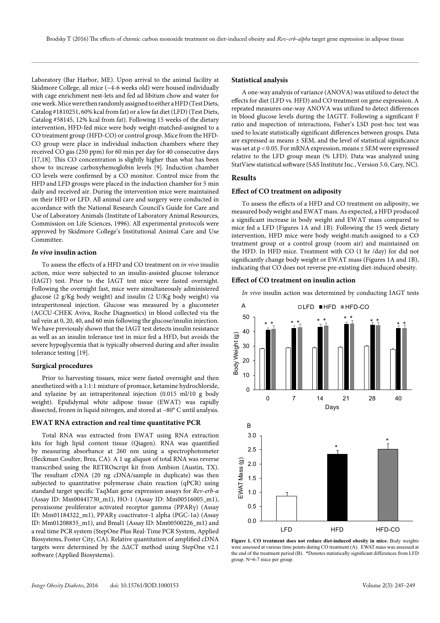Laboratory (Bar Harbor, ME). Upon arrival to the animal facility at Skidmore College, all mice (~4-6 weeks old) were housed individually with cage enrichment nest-lets and fed ad libitum chow and water for one week. Mice were then randomly assigned to either a HFD (Test Diets, Catalog #1810251, 60% kcal from fat) or a low fat diet (LFD) (Test Diets, Catalog #58145, 12% kcal from fat). Following 15 weeks of the dietary intervention, HFD-fed mice were body weight-matched-assigned to a CO treatment group (HFD-CO) or control group. Mice from the HFD-CO group were place in individual induction chambers where they received CO gas (250 ppm) for 60 min per day for 40 consecutive days [17,18]. This CO concentration is slightly higher than what has been show to increase carboxyhemoglobin levels [9]. Induction chamber CO levels were confirmed by a CO monitor. Control mice from the HFD and LFD groups were placed in the induction chamber for 5 min daily and received air. During the intervention mice were maintained on their HFD or LFD. All animal care and surgery were conducted in accordance with the National Research Council's Guide for Care and Use of Laboratory Animals (Institute of Laboratory Animal Resources, Commission on Life Sciences, 1996). All experimental protocols were approved by Skidmore College's Institutional Animal Care and Use Committee.

# *In vivo* **insulin action**

To assess the effects of a HFD and CO treatment on *in vivo* insulin action, mice were subjected to an insulin-assisted glucose tolerance (IAGT) test. Prior to the IAGT test mice were fasted overnight. Following the overnight fast, mice were simultaneously administered glucose (2 g/Kg body weight) and insulin (2 U/Kg body weight) via intraperitoneal injection. Glucose was measured by a glucometer (ACCU-CHEK Aviva, Roche Diagnostics) in blood collected via the tail vein at 0, 20, 40, and 60 min following the glucose/insulin injection. We have previously shown that the IAGT test detects insulin resistance as well as an insulin tolerance test in mice fed a HFD, but avoids the severe hypoglycemia that is typically observed during and after insulin tolerance testing [19].

### **Surgical procedures**

Prior to harvesting tissues, mice were fasted overnight and then anesthetized with a 1:1:1 mixture of promace, ketamine hydrochloride, and xylazine by an intraperitoneal injection (0.015 ml/10 g body weight). Epididymal white adipose tissue (EWAT) was rapidly dissected, frozen in liquid nitrogen, and stored at –80° C until analysis.

#### **EWAT RNA extraction and real time quantitative PCR**

Total RNA was extracted from EWAT using RNA extraction kits for high lipid content tissue (Qiagen). RNA was quantified by measuring absorbance at 260 nm using a spectrophotometer (Beckman Coulter, Brea, CA). A 1 ug aliquot of total RNA was reverse transcribed using the RETROscript kit from Ambion (Austin, TX). The resultant cDNA (20 ng cDNA/sample in duplicate) was then subjected to quantitative polymerase chain reaction (qPCR) using standard target specific TaqMan gene expression assays for *Rev-erb-α* (Assay ID: Mm00441730\_m1), HO-1 (Assay ID: Mm00516005\_m1), peroxisome proliferator activated receptor gamma (PPARγ) (Assay ID: Mm01184322\_m1), PPARγ coactivator-1 alpha (PGC-1α) (Assay ID: Mm01208835\_m1), and Bmal1 (Assay ID: Mm00500226\_m1) and a real time PCR system (StepOne Plus Real-Time PCR System, Applied Biosystems, Foster City, CA). Relative quantitation of amplified cDNA targets were determined by the ΔΔCT method using StepOne v2.1 software (Applied Biosystems).

#### **Statistical analysis**

A one-way analysis of variance (ANOVA) was utilized to detect the effects for diet (LFD vs. HFD) and CO treatment on gene expression. A repeated measures one-way ANOVA was utilized to detect differences in blood glucose levels during the IAGTT. Following a significant F ratio and inspection of interactions, Fisher's LSD post-hoc test was used to locate statistically significant differences between groups. Data are expressed as means  $\pm$  SEM, and the level of statistical significance was set at p < 0.05. For mRNA expression, means ± SEM were expressed relative to the LFD group mean (% LFD). Data was analyzed using StatView statistical software (SAS Institute Inc., Version 5.0, Cary, NC).

### **Results**

# **Effect of CO treatment on adiposity**

To assess the effects of a HFD and CO treatment on adiposity, we measured body weight and EWAT mass. As expected, a HFD produced a significant increase in body weight and EWAT mass compared to mice fed a LFD (Figures 1A and 1B). Following the 15 week dietary intervention, HFD mice were body weight-match-assigned to a CO treatment group or a control group (room air) and maintained on the HFD. In HFD mice. Treatment with CO (1 hr /day) for did not significantly change body weight or EWAT mass (Figures 1A and 1B), indicating that CO does not reverse pre-existing diet-induced obesity.

# **Effect of CO treatment on insulin action**

*In vivo* insulin action was determined by conducting IAGT tests



**Figure 1. CO treatment does not reduce diet-induced obesity in mice.** Body weights were assessed at various time points during CO treatment (A). EWAT mass was assessed at the end of the treatment period (B). \*Denotes statistically significant differences from LFD group. N=6-7 mice per group.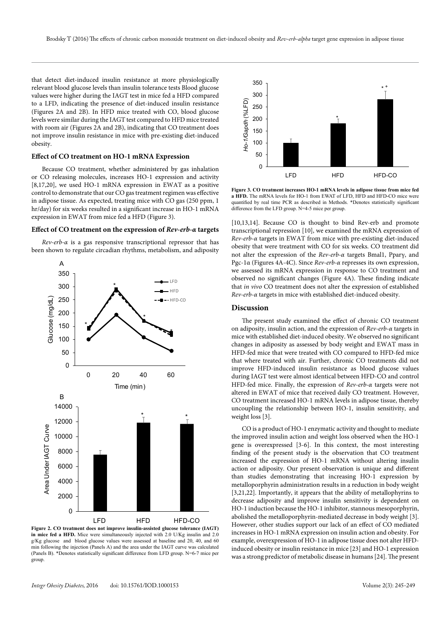that detect diet-induced insulin resistance at more physiologically relevant blood glucose levels than insulin tolerance tests Blood glucose values were higher during the IAGT test in mice fed a HFD compared to a LFD, indicating the presence of diet-induced insulin resistance (Figures 2A and 2B). In HFD mice treated with CO, blood glucose levels were similar during the IAGT test compared to HFD mice treated with room air (Figures 2A and 2B), indicating that CO treatment does not improve insulin resistance in mice with pre-existing diet-induced obesity.

# **Effect of CO treatment on HO-1 mRNA Expression**

Because CO treatment, whether administered by gas inhalation or CO releasing molecules, increases HO-1 expression and activity [8,17,20], we used HO-1 mRNA expression in EWAT as a positive control to demonstrate that our CO gas treatment regimen was effective in adipose tissue. As expected, treating mice with CO gas (250 ppm, 1 hr/day) for six weeks resulted in a significant increase in HO-1 mRNA expression in EWAT from mice fed a HFD (Figure 3).

#### **Effect of CO treatment on the expression of** *Rev-erb-α* **targets**

*Rev-erb-α* is a gas responsive transcriptional repressor that has been shown to regulate circadian rhythms, metabolism, and adiposity



**Figure 2. CO treatment does not improve insulin-assisted glucose tolerance (IAGT) in mice fed a HFD.** Mice were simultaneously injected with 2.0 U/Kg insulin and 2.0 g/Kg glucose and blood glucose values were assessed at baseline and 20, 40, and 60 min following the injection (Panels A) and the area under the IAGT curve was calculated (Panels B). \*Denotes statistically significant difference from LFD group. N=6-7 mice per group



**Figure 3. CO treatment increases HO-1 mRNA levels in adipose tissue from mice fed a HFD.** The mRNA levels for HO-1 from EWAT of LFD, HFD and HFD-CO mice were quantified by real time PCR as described in Methods. \*Denotes statistically significant difference from the LFD group. N=4-5 mice per group.

[10,13,14]. Because CO is thought to bind Rev-erb and promote transcriptional repression [10], we examined the mRNA expression of *Rev-erb-α* targets in EWAT from mice with pre-existing diet-induced obesity that were treatment with CO for six weeks. CO treatment did not alter the expression of the *Rev-erb-α* targets Bmal1, Pparγ, and Pgc-1α (Figures 4A-4C). Since *Rev-erb-α* represses its own expression, we assessed its mRNA expression in response to CO treatment and observed no significant changes (Figure 4A). These finding indicate that *in vivo* CO treatment does not alter the expression of established *Rev-erb-α* targets in mice with established diet-induced obesity.

#### **Discussion**

The present study examined the effect of chronic CO treatment on adiposity, insulin action, and the expression of *Rev-erb-α* targets in mice with established diet-induced obesity. We observed no significant changes in adiposity as assessed by body weight and EWAT mass in HFD-fed mice that were treated with CO compared to HFD-fed mice that where treated with air. Further, chronic CO treatments did not improve HFD-induced insulin resistance as blood glucose values during IAGT test were almost identical between HFD-CO and control HFD-fed mice. Finally, the expression of *Rev-erb-α* targets were not altered in EWAT of mice that received daily CO treatment. However, CO treatment increased HO-1 mRNA levels in adipose tissue, thereby uncoupling the relationship between HO-1, insulin sensitivity, and weight loss [3].

CO is a product of HO-1 enzymatic activity and thought to mediate the improved insulin action and weight loss observed when the HO-1 gene is overexpressed [3-6]. In this context, the most interesting finding of the present study is the observation that CO treatment increased the expression of HO-1 mRNA without altering insulin action or adiposity. Our present observation is unique and different than studies demonstrating that increasing HO-1 expression by metalloporphyrin administration results in a reduction in body weight [3,21,22]. Importantly, it appears that the ability of metallophyrins to decrease adiposity and improve insulin sensitivity is dependent on HO-1 induction because the HO-1 inhibitor, stannous mesoporphyrin, abolished the metalloporphyrin-mediated decrease in body weight [3]. However, other studies support our lack of an effect of CO mediated increases in HO-1 mRNA expression on insulin action and obesity. For example, overexpression of HO-1 in adipose tissue does not alter HFDinduced obesity or insulin resistance in mice [23] and HO-1 expression was a strong predictor of metabolic disease in humans [24]. The present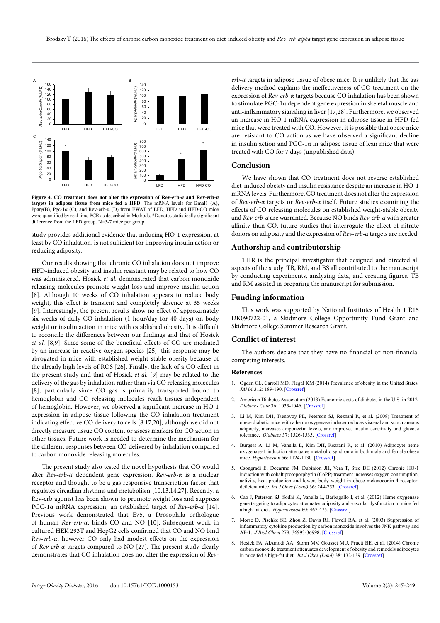

**Figure 4. CO treatment does not alter the expression of Rev-erb-α and Rev-erb-α targets in adipose tissue from mice fed a HFD.** The mRNA levels for Bmal1 (A), Ppar*γ*(B), Pgc-1α (C), and Rev-erb-α (D) from EWAT of LFD, HFD and HFD-CO mice were quantified by real time PCR as described in Methods. \*Denotes statistically significant difference from the LFD group. N=5-7 mice per group.

study provides additional evidence that inducing HO-1 expression, at least by CO inhalation, is not sufficient for improving insulin action or reducing adiposity.

Our results showing that chronic CO inhalation does not improve HFD-induced obesity and insulin resistant may be related to how CO was administered. Hosick *et al.* demonstrated that carbon monoxide releasing molecules promote weight loss and improve insulin action [8]. Although 10 weeks of CO inhalation appears to reduce body weight, this effect is transient and completely absence at 35 weeks [9]. Interestingly, the present results show no effect of approximately six weeks of daily CO inhalation (1 hour/day for 40 days) on body weight or insulin action in mice with established obesity. It is difficult to reconcile the differences between our findings and that of Hosick *et al.* [8,9]. Since some of the beneficial effects of CO are mediated by an increase in reactive oxygen species [25], this response may be abrogated in mice with established weight stable obesity because of the already high levels of ROS [26]. Finally, the lack of a CO effect in the present study and that of Hosick *et al.* [9] may be related to the delivery of the gas by inhalation rather than via CO releasing molecules [8], particularly since CO gas is primarily transported bound to hemoglobin and CO releasing molecules reach tissues independent of hemoglobin. However, we observed a significant increase in HO-1 expression in adipose tissue following the CO inhalation treatment indicating effective CO delivery to cells [8 17,20], although we did not directly measure tissue CO content or assess markers for CO action in other tissues. Future work is needed to determine the mechanism for the different responses between CO delivered by inhalation compared to carbon monoxide releasing molecules.

The present study also tested the novel hypothesis that CO would alter *Rev-erb-α* dependent gene expression. *Rev-erb-α* is a nuclear receptor and thought to be a gas responsive transcription factor that regulates circadian rhythms and metabolism [10,13,14,27]. Recently, a Rev-erb agonist has been shown to promote weight loss and suppress PGC-1α mRNA expression, an established target of *Rev-erb-α* [14]. Previous work demonstrated that E75, a Drosophila orthologue of human *Rev-erb-α*, binds CO and NO [10]. Subsequent work in cultured HEK 293T and HepG2 cells confirmed that CO and NO bind *Rev-erb-α*, however CO only had modest effects on the expression of *Rev-erb-α* targets compared to NO [27]. The present study clearly demonstrates that CO inhalation does not alter the expression of *Rev-* *erb-α* targets in adipose tissue of obese mice. It is unlikely that the gas delivery method explains the ineffectiveness of CO treatment on the expression of *Rev-erb-α* targets because CO inhalation has been shown to stimulate PGC-1α dependent gene expression in skeletal muscle and anti-inflammatory signaling in liver [17,28]. Furthermore, we observed an increase in HO-1 mRNA expression in adipose tissue in HFD-fed mice that were treated with CO. However, it is possible that obese mice are resistant to CO action as we have observed a significant decline in insulin action and PGC-1α in adipose tissue of lean mice that were treated with CO for 7 days (unpublished data).

# **Conclusion**

We have shown that CO treatment does not reverse established diet-induced obesity and insulin resistance despite an increase in HO-1 mRNA levels. Furthermore, CO treatment does not alter the expression of *Rev-erb-α* targets or *Rev-erb-α* itself. Future studies examining the effects of CO releasing molecules on established weight-stable obesity and *Rev-erb-α* are warranted. Because NO binds *Rev-erb-α* with greater affinity than CO, future studies that interrogate the effect of nitrate donors on adiposity and the expression of *Rev-erb-α* targets are needed.

# **Authorship and contributorship**

THR is the principal investigator that designed and directed all aspects of the study. TB, RM, and BS all contributed to the manuscript by conducting experiments, analyzing data, and creating figures. TB and RM assisted in preparing the manuscript for submission.

#### **Funding information**

This work was supported by National Institutes of Health 1 R15 DK090722-01, a Skidmore College Opportunity Fund Grant and Skidmore College Summer Research Grant.

### **Conflict of interest**

The authors declare that they have no financial or non-financial competing interests.

# **References**

- 1. Ogden CL, Carroll MD, Flegal KM (2014) Prevalence of obesity in the United States. *JAMA* 312: 189-190. [\[Crossref\]](http://www.ncbi.nlm.nih.gov/pubmed/25005661)
- 2. American Diabetes Association (2013) Economic costs of diabetes in the U.S. in 2012. *Diabetes Care* 36: 1033-1046. [[Crossref](http://www.ncbi.nlm.nih.gov/pubmed/23468086)]
- 3. Li M, Kim DH, Tsenovoy PL, Peterson SJ, Rezzani R, et al. (2008) Treatment of obese diabetic mice with a heme oxygenase inducer reduces visceral and subcutaneous adiposity, increases adiponectin levels, and improves insulin sensitivity and glucose tolerance. *Diabetes* 57: 1526-1535. [[Crossref\]](http://www.ncbi.nlm.nih.gov/pubmed/18375438)
- 4. Burgess A, Li M, Vanella L, Kim DH, Rezzani R, et al. (2010) Adipocyte heme oxygenase-1 induction attenuates metabolic syndrome in both male and female obese mice. *Hypertension* 56: 1124-1130. [[Crossref](http://www.ncbi.nlm.nih.gov/pubmed/21041703)]
- 5. Csongradi E, Docarmo JM, Dubinion JH, Vera T, Stec DE (2012) Chronic HO-1 induction with cobalt protoporphyrin (CoPP) treatment increases oxygen consumption, activity, heat production and lowers body weight in obese melanocortin-4 receptordeficient mice. *Int J Obes (Lond)* 36: 244-253. [[Crossref](http://www.ncbi.nlm.nih.gov/pubmed/21467998)]
- 6. Cao J, Peterson SJ, Sodhi K, Vanella L, Barbagallo I, et al. (2012) Heme oxygenase gene targeting to adipocytes attenuates adiposity and vascular dysfunction in mice fed a high-fat diet. *Hypertension* 60: 467-475. [[Crossref](http://www.ncbi.nlm.nih.gov/pubmed/22753217)]
- 7. Morse D, Pischke SE, Zhou Z, Davis RJ, Flavell RA, et al. (2003) Suppression of inflammatory cytokine production by carbon monoxide involves the JNK pathway and AP-1. *J Biol Chem* 278: 36993-36998. [\[Crossref](http://www.ncbi.nlm.nih.gov/pubmed/12857751)]
- 8. Hosick PA, AlAmodi AA, Storm MV, Gousset MU, Pruett BE, et al. (2014) Chronic carbon monoxide treatment attenuates development of obesity and remodels adipocytes in mice fed a high-fat diet. *Int J Obes (Lond)* 38: 132-139. [\[Crossref](http://www.ncbi.nlm.nih.gov/pubmed/23689359)]